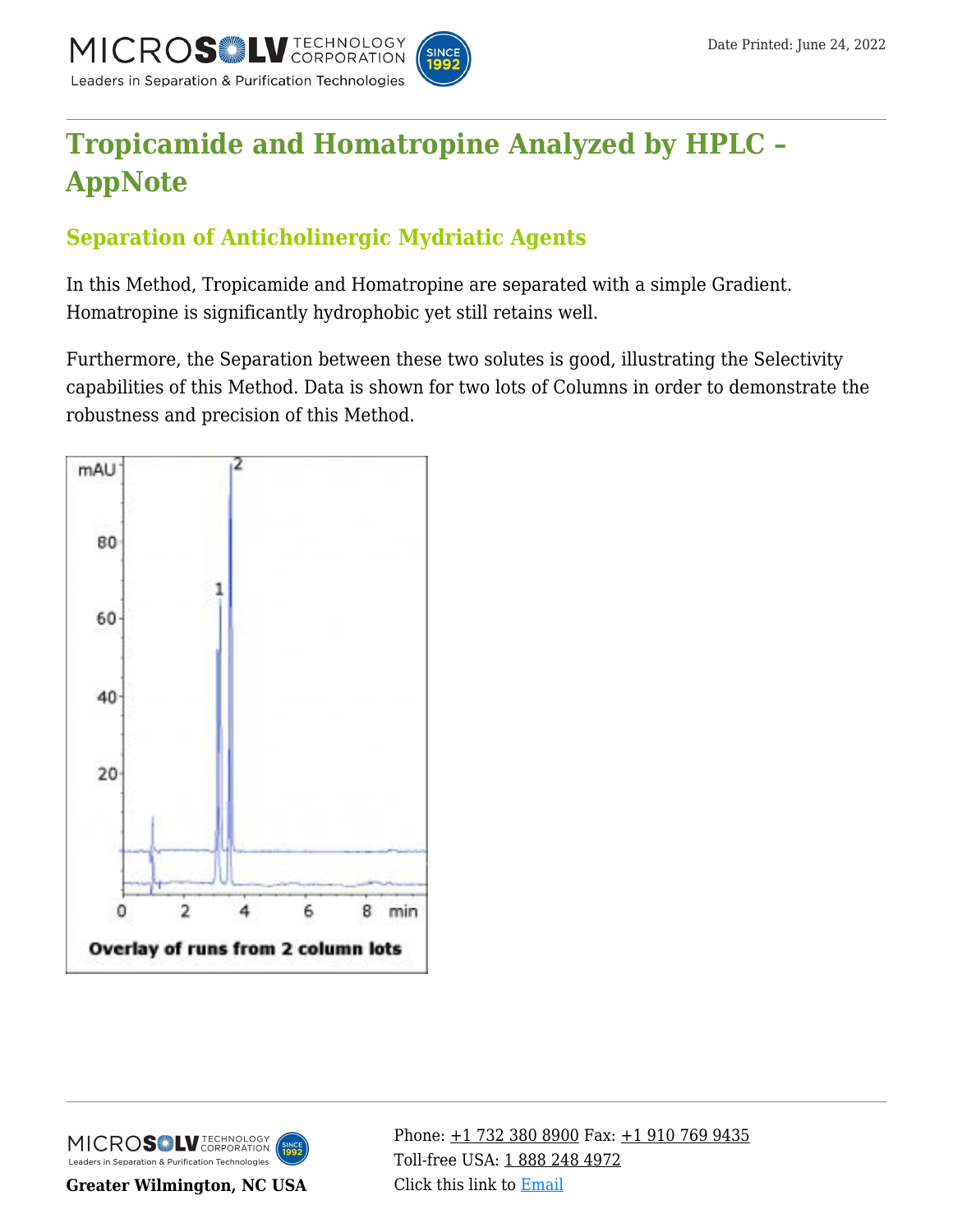

# **[Tropicamide and Homatropine Analyzed by HPLC –](https://kb.mtc-usa.com/article/aa-01053/46/) [AppNote](https://kb.mtc-usa.com/article/aa-01053/46/)**

## **Separation of Anticholinergic Mydriatic Agents**

In this Method, Tropicamide and Homatropine are separated with a simple Gradient. Homatropine is significantly hydrophobic yet still retains well.

Furthermore, the Separation between these two solutes is good, illustrating the Selectivity capabilities of this Method. Data is shown for two lots of Columns in order to demonstrate the robustness and precision of this Method.



MICROS LU TECHNOLOGY Leaders in Separation & Purification Technologies

**Greater Wilmington, NC USA**

Phone:  $\pm$ 1 732 380 8900 Fax:  $\pm$ 1 910 769 9435 Toll-free USA: [1 888 248 4972](#page--1-0) Click this link to [Email](https://www.mtc-usa.com/contact)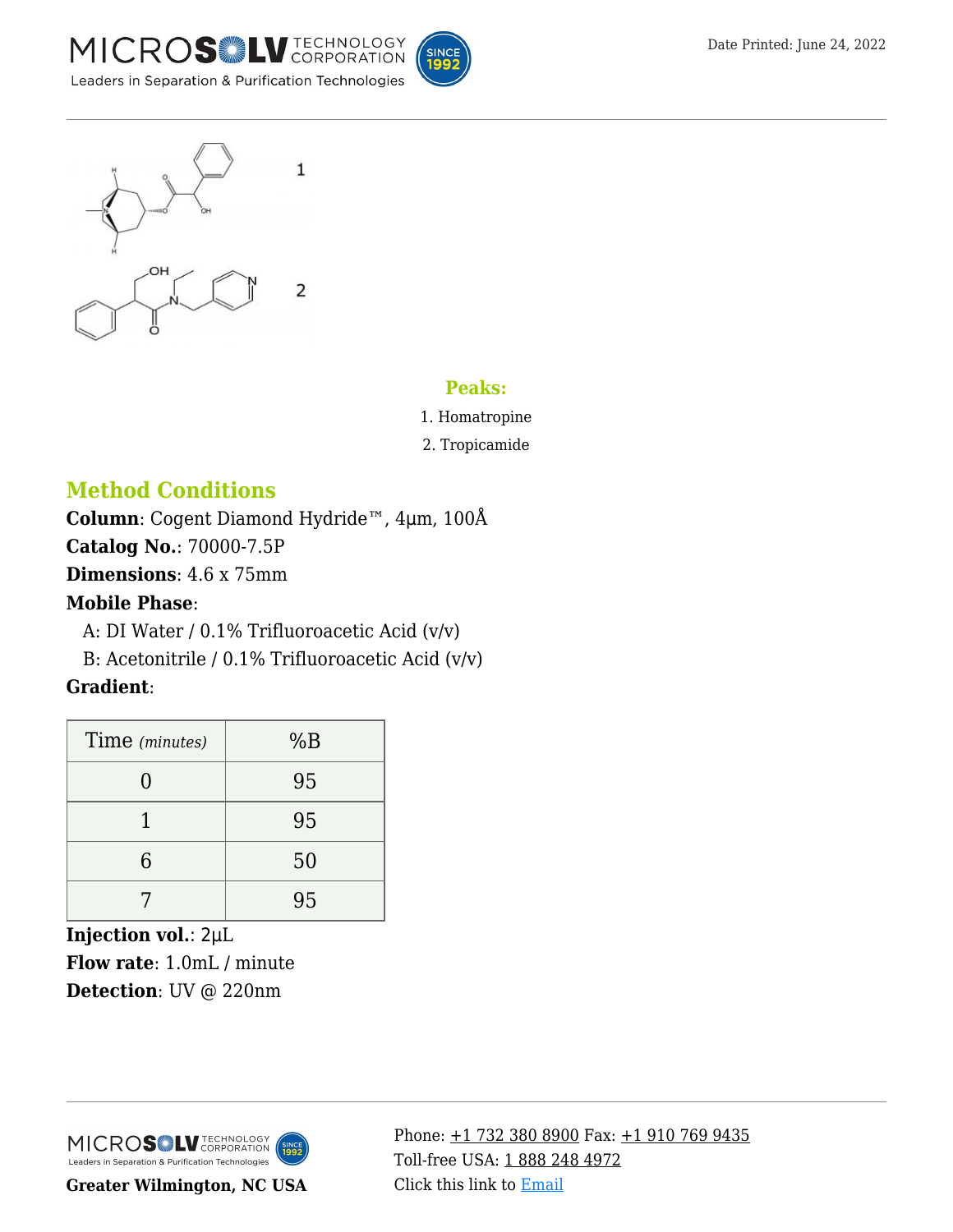



#### **Peaks:**

- 1. Homatropine
- 2. Tropicamide

## **Method Conditions**

**Column**: Cogent Diamond Hydride™, 4μm, 100Å

**Catalog No.**: 70000-7.5P

**Dimensions**: 4.6 x 75mm

#### **Mobile Phase**:

—A: DI Water / 0.1% Trifluoroacetic Acid (v/v)

B: Acetonitrile / 0.1% Trifluoroacetic Acid (v/v)

### **Gradient**:

| Time (minutes) | %B |
|----------------|----|
|                | 95 |
|                | 95 |
| հ              | 50 |
|                | 95 |

**Injection vol.**: 2μL **Flow rate**: 1.0mL / minute **Detection**: UV @ 220nm



**Greater Wilmington, NC USA**

Phone:  $\pm$ 1 732 380 8900 Fax:  $\pm$ 1 910 769 9435 Toll-free USA: [1 888 248 4972](#page--1-0) Click this link to [Email](https://www.mtc-usa.com/contact)